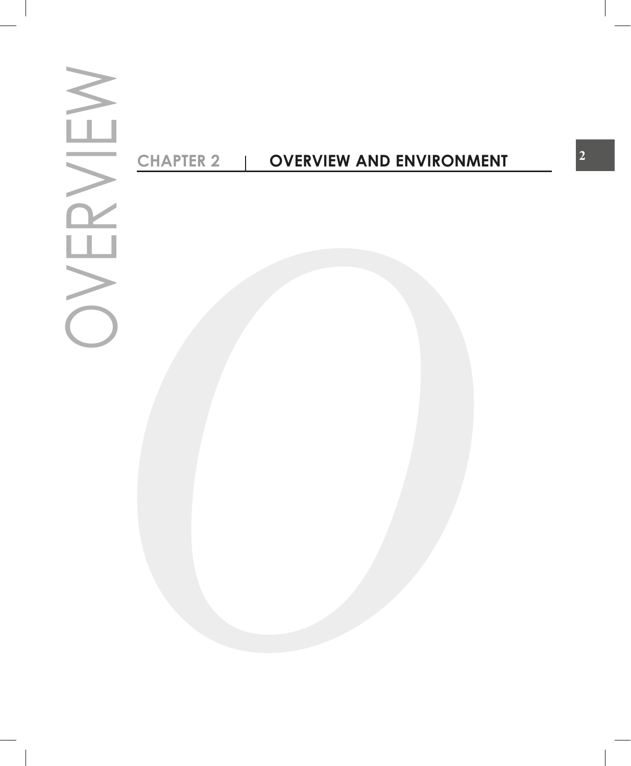# OVERVIEW  $\leq$  $\cong$ **2 CHAPTER 2 DVERVIEW AND ENVIRONMENT** *O*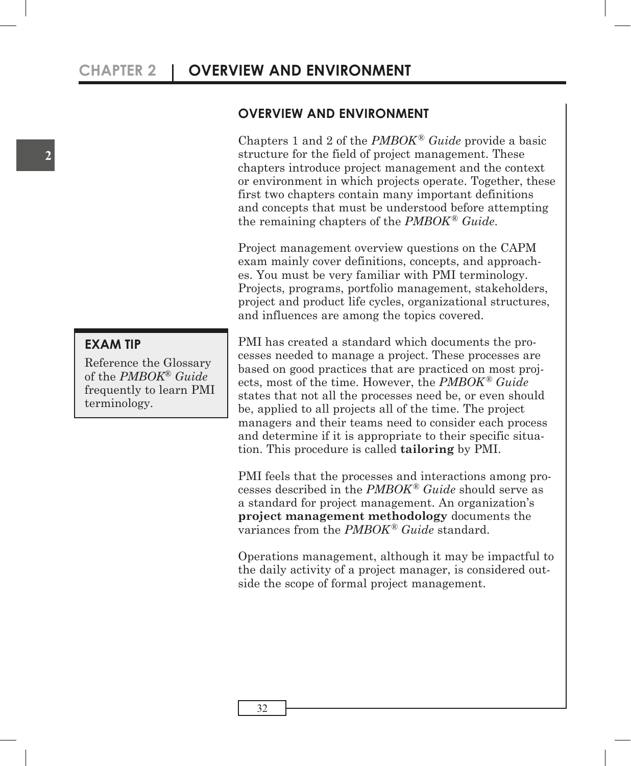#### **OVERVIEW AND ENVIRONMENT**

Chapters 1 and 2 of the *PMBOK*® *Guide* provide a basic structure for the field of project management. These chapters introduce project management and the context or environment in which projects operate. Together, these first two chapters contain many important definitions and concepts that must be understood before attempting the remaining chapters of the *PMBOK*® *Guide*.

Project management overview questions on the CAPM exam mainly cover definitions, concepts, and approaches. You must be very familiar with PMI terminology. Projects, programs, portfolio management, stakeholders, project and product life cycles, organizational structures, and influences are among the topics covered.

PMI has created a standard which documents the processes needed to manage a project. These processes are based on good practices that are practiced on most projects, most of the time. However, the *PMBOK*® *Guide* states that not all the processes need be, or even should be, applied to all projects all of the time. The project managers and their teams need to consider each process and determine if it is appropriate to their specific situation. This procedure is called **tailoring** by PMI.

PMI feels that the processes and interactions among processes described in the *PMBOK*® *Guide* should serve as a standard for project management. An organization's **project management methodology** documents the variances from the *PMBOK*® *Guide* standard.

Operations management, although it may be impactful to the daily activity of a project manager, is considered outside the scope of formal project management.

#### **EXAM TIP**

Reference the Glossary of the *PMBOK*® *Guide* frequently to learn PMI terminology.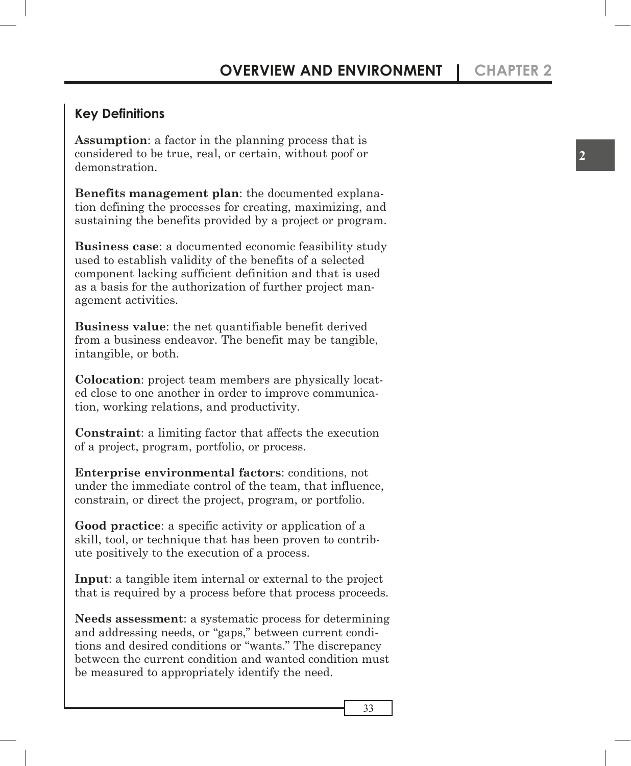#### **Key Definitions**

**Assumption**: a factor in the planning process that is considered to be true, real, or certain, without poof or demonstration.

**Benefits management plan**: the documented explanation defining the processes for creating, maximizing, and sustaining the benefits provided by a project or program.

**Business case**: a documented economic feasibility study used to establish validity of the benefits of a selected component lacking sufficient definition and that is used as a basis for the authorization of further project management activities.

**Business value**: the net quantifiable benefit derived from a business endeavor. The benefit may be tangible, intangible, or both.

**Colocation**: project team members are physically located close to one another in order to improve communication, working relations, and productivity.

**Constraint**: a limiting factor that affects the execution of a project, program, portfolio, or process.

**Enterprise environmental factors**: conditions, not under the immediate control of the team, that influence, constrain, or direct the project, program, or portfolio.

**Good practice**: a specific activity or application of a skill, tool, or technique that has been proven to contribute positively to the execution of a process.

**Input**: a tangible item internal or external to the project that is required by a process before that process proceeds.

**Needs assessment**: a systematic process for determining and addressing needs, or "gaps," between current conditions and desired conditions or "wants." The discrepancy between the current condition and wanted condition must be measured to appropriately identify the need.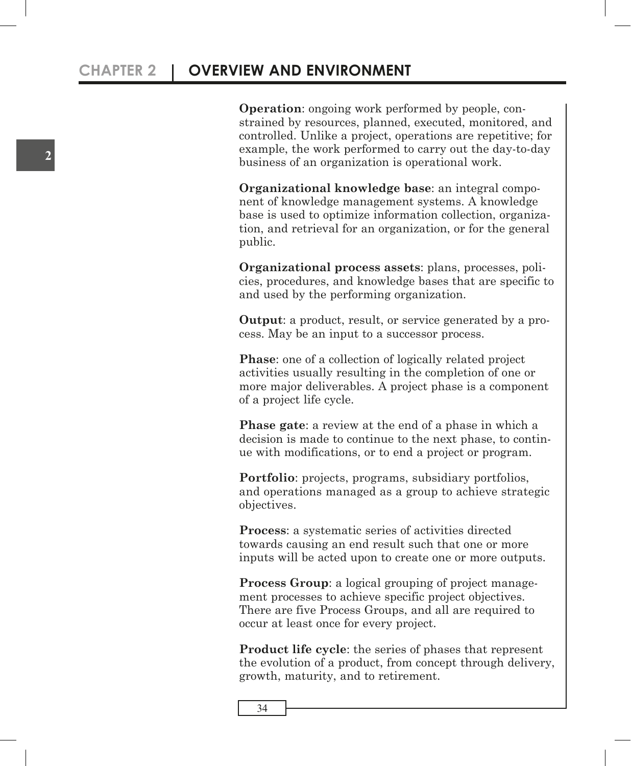**Operation**: ongoing work performed by people, constrained by resources, planned, executed, monitored, and controlled. Unlike a project, operations are repetitive; for example, the work performed to carry out the day-to-day business of an organization is operational work.

**Organizational knowledge base**: an integral component of knowledge management systems. A knowledge base is used to optimize information collection, organization, and retrieval for an organization, or for the general public.

**Organizational process assets**: plans, processes, policies, procedures, and knowledge bases that are specific to and used by the performing organization.

**Output**: a product, result, or service generated by a process. May be an input to a successor process.

**Phase**: one of a collection of logically related project activities usually resulting in the completion of one or more major deliverables. A project phase is a component of a project life cycle.

**Phase gate**: a review at the end of a phase in which a decision is made to continue to the next phase, to continue with modifications, or to end a project or program.

**Portfolio**: projects, programs, subsidiary portfolios, and operations managed as a group to achieve strategic objectives.

**Process**: a systematic series of activities directed towards causing an end result such that one or more inputs will be acted upon to create one or more outputs.

**Process Group**: a logical grouping of project management processes to achieve specific project objectives. There are five Process Groups, and all are required to occur at least once for every project.

**Product life cycle**: the series of phases that represent the evolution of a product, from concept through delivery, growth, maturity, and to retirement.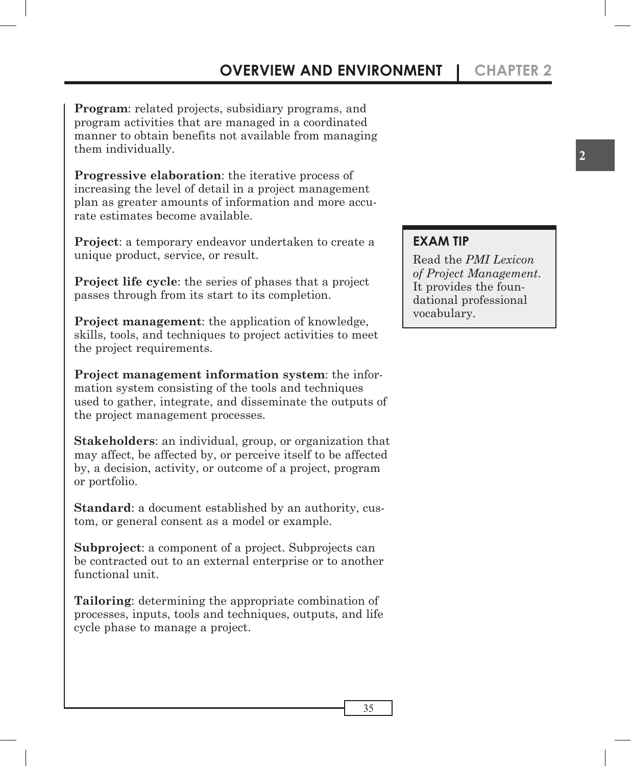# **OVERVIEW AND ENVIRONMENT | CHAPTER 2**

**Program**: related projects, subsidiary programs, and program activities that are managed in a coordinated manner to obtain benefits not available from managing them individually.

**Progressive elaboration**: the iterative process of increasing the level of detail in a project management plan as greater amounts of information and more accurate estimates become available.

**Project**: a temporary endeavor undertaken to create a unique product, service, or result.

**Project life cycle**: the series of phases that a project passes through from its start to its completion.

**Project management**: the application of knowledge, skills, tools, and techniques to project activities to meet the project requirements.

**Project management information system**: the information system consisting of the tools and techniques used to gather, integrate, and disseminate the outputs of the project management processes.

**Stakeholders**: an individual, group, or organization that may affect, be affected by, or perceive itself to be affected by, a decision, activity, or outcome of a project, program or portfolio.

**Standard:** a document established by an authority, custom, or general consent as a model or example.

**Subproject**: a component of a project. Subprojects can be contracted out to an external enterprise or to another functional unit.

**Tailoring**: determining the appropriate combination of processes, inputs, tools and techniques, outputs, and life cycle phase to manage a project.

#### **EXAM TIP**

Read the *PMI Lexicon of Project Management*. It provides the foundational professional vocabulary.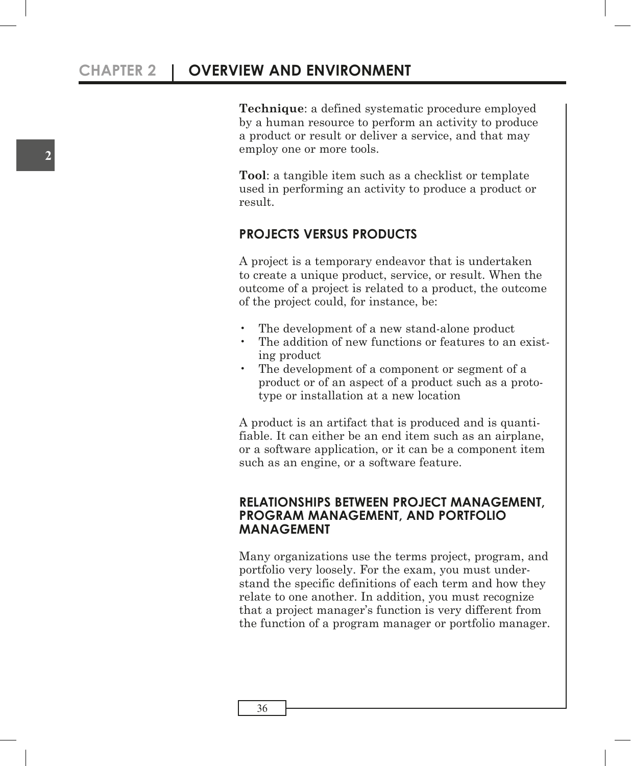**Technique**: a defined systematic procedure employed by a human resource to perform an activity to produce a product or result or deliver a service, and that may employ one or more tools.

**Tool**: a tangible item such as a checklist or template used in performing an activity to produce a product or result.

#### **PROJECTS VERSUS PRODUCTS**

A project is a temporary endeavor that is undertaken to create a unique product, service, or result. When the outcome of a project is related to a product, the outcome of the project could, for instance, be:

- The development of a new stand-alone product
- The addition of new functions or features to an existing product
- The development of a component or segment of a product or of an aspect of a product such as a prototype or installation at a new location

A product is an artifact that is produced and is quantifiable. It can either be an end item such as an airplane, or a software application, or it can be a component item such as an engine, or a software feature.

#### **RELATIONSHIPS BETWEEN PROJECT MANAGEMENT, PROGRAM MANAGEMENT, AND PORTFOLIO MANAGEMENT**

Many organizations use the terms project, program, and portfolio very loosely. For the exam, you must understand the specific definitions of each term and how they relate to one another. In addition, you must recognize that a project manager's function is very different from the function of a program manager or portfolio manager.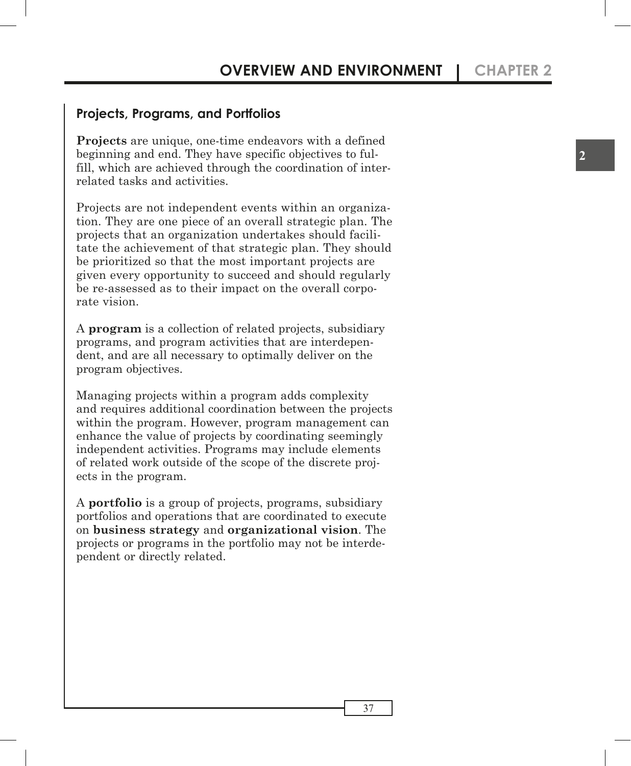#### **Projects, Programs, and Portfolios**

**Projects** are unique, one-time endeavors with a defined beginning and end. They have specific objectives to fulfill, which are achieved through the coordination of interrelated tasks and activities.

Projects are not independent events within an organization. They are one piece of an overall strategic plan. The projects that an organization undertakes should facilitate the achievement of that strategic plan. They should be prioritized so that the most important projects are given every opportunity to succeed and should regularly be re-assessed as to their impact on the overall corporate vision.

A **program** is a collection of related projects, subsidiary programs, and program activities that are interdependent, and are all necessary to optimally deliver on the program objectives.

Managing projects within a program adds complexity and requires additional coordination between the projects within the program. However, program management can enhance the value of projects by coordinating seemingly independent activities. Programs may include elements of related work outside of the scope of the discrete projects in the program.

A **portfolio** is a group of projects, programs, subsidiary portfolios and operations that are coordinated to execute on **business strategy** and **organizational vision**. The projects or programs in the portfolio may not be interdependent or directly related.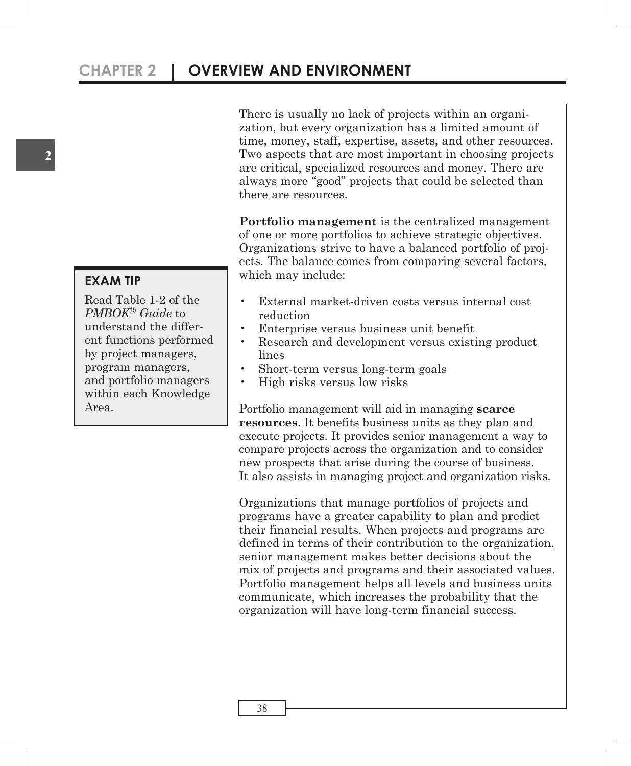There is usually no lack of projects within an organization, but every organization has a limited amount of time, money, staff, expertise, assets, and other resources. Two aspects that are most important in choosing projects are critical, specialized resources and money. There are always more "good" projects that could be selected than there are resources.

**Portfolio management** is the centralized management of one or more portfolios to achieve strategic objectives. Organizations strive to have a balanced portfolio of projects. The balance comes from comparing several factors, which may include:

- External market-driven costs versus internal cost reduction
- Enterprise versus business unit benefit
- Research and development versus existing product lines
- Short-term versus long-term goals
- High risks versus low risks

Portfolio management will aid in managing **scarce resources**. It benefits business units as they plan and execute projects. It provides senior management a way to compare projects across the organization and to consider new prospects that arise during the course of business. It also assists in managing project and organization risks.

Organizations that manage portfolios of projects and programs have a greater capability to plan and predict their financial results. When projects and programs are defined in terms of their contribution to the organization, senior management makes better decisions about the mix of projects and programs and their associated values. Portfolio management helps all levels and business units communicate, which increases the probability that the organization will have long-term financial success.

**2**

#### **EXAM TIP**

Read Table 1-2 of the *PMBOK*® *Guide* to understand the different functions performed by project managers, program managers, and portfolio managers within each Knowledge Area.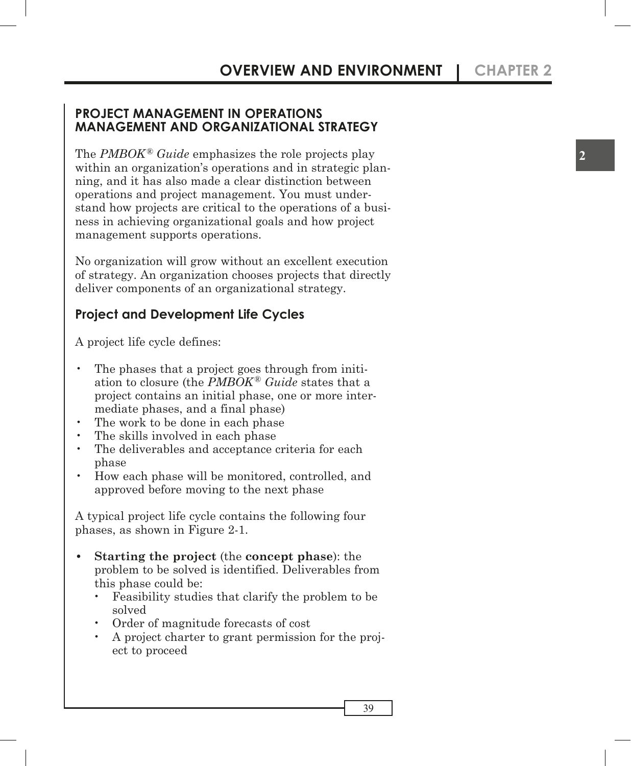#### **PROJECT MANAGEMENT IN OPERATIONS MANAGEMENT AND ORGANIZATIONAL STRATEGY**

The *PMBOK*® *Guide* emphasizes the role projects play within an organization's operations and in strategic planning, and it has also made a clear distinction between operations and project management. You must understand how projects are critical to the operations of a business in achieving organizational goals and how project management supports operations.

No organization will grow without an excellent execution of strategy. An organization chooses projects that directly deliver components of an organizational strategy.

#### **Project and Development Life Cycles**

A project life cycle defines:

- The phases that a project goes through from initiation to closure (the *PMBOK*® *Guide* states that a project contains an initial phase, one or more intermediate phases, and a final phase)
- The work to be done in each phase
- The skills involved in each phase
- The deliverables and acceptance criteria for each phase
- How each phase will be monitored, controlled, and approved before moving to the next phase

A typical project life cycle contains the following four phases, as shown in Figure 2-1.

- **• Starting the project** (the **concept phase**): the problem to be solved is identified. Deliverables from this phase could be:
	- Feasibility studies that clarify the problem to be solved
	- Order of magnitude forecasts of cost
	- A project charter to grant permission for the project to proceed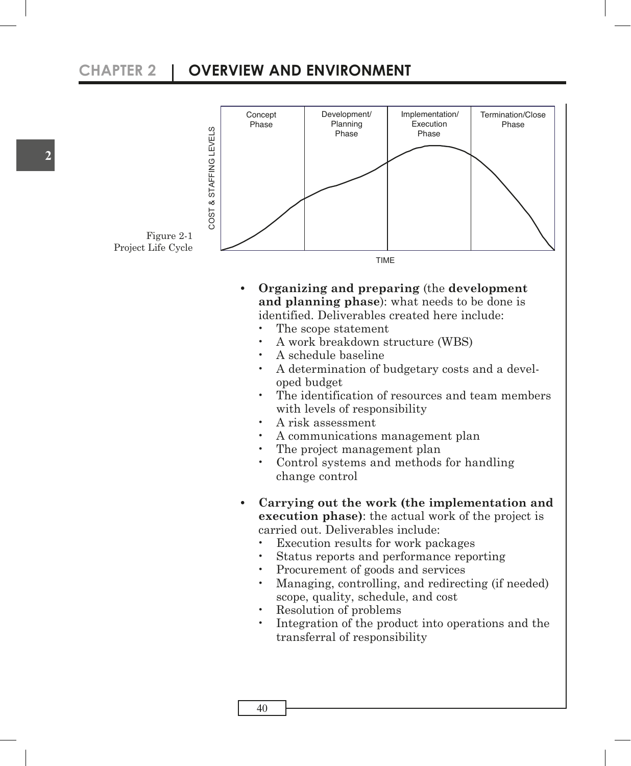# **CHAPTER 2 | OVERVIEW AND ENVIRONMENT**



- **• Organizing and preparing** (the **development and planning phase**): what needs to be done is identified. Deliverables created here include:
	- The scope statement
	- A work breakdown structure (WBS)
	- A schedule baseline
	- A determination of budgetary costs and a developed budget
	- The identification of resources and team members with levels of responsibility
	- A risk assessment
	- A communications management plan
	- The project management plan
	- Control systems and methods for handling change control
- **• Carrying out the work (the implementation and execution phase)**: the actual work of the project is carried out. Deliverables include:
	- Execution results for work packages
	- Status reports and performance reporting
	- Procurement of goods and services
	- Managing, controlling, and redirecting (if needed) scope, quality, schedule, and cost
	- Resolution of problems
	- Integration of the product into operations and the transferral of responsibility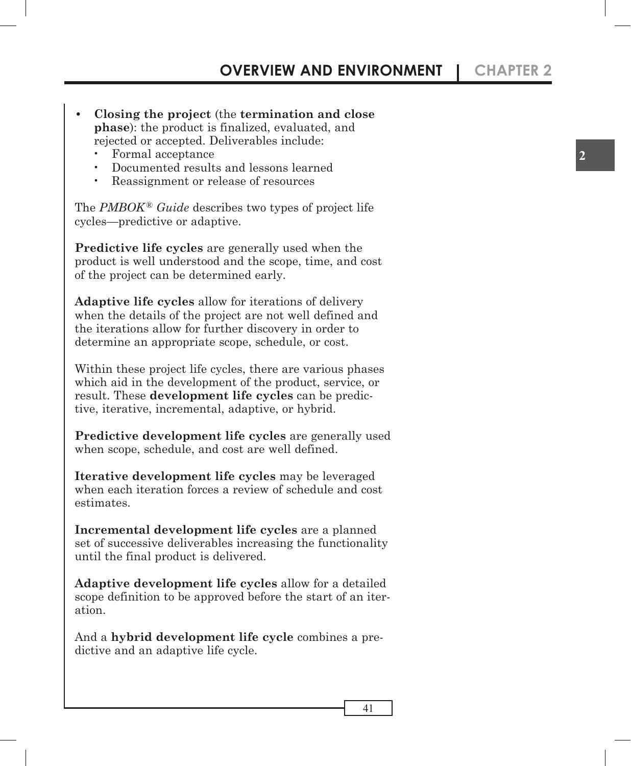- Formal acceptance
- Documented results and lessons learned
- Reassignment or release of resources

The *PMBOK*® *Guide* describes two types of project life cycles—predictive or adaptive.

**Predictive life cycles** are generally used when the product is well understood and the scope, time, and cost of the project can be determined early.

**Adaptive life cycles** allow for iterations of delivery when the details of the project are not well defined and the iterations allow for further discovery in order to determine an appropriate scope, schedule, or cost.

Within these project life cycles, there are various phases which aid in the development of the product, service, or result. These **development life cycles** can be predictive, iterative, incremental, adaptive, or hybrid.

**Predictive development life cycles** are generally used when scope, schedule, and cost are well defined.

**Iterative development life cycles** may be leveraged when each iteration forces a review of schedule and cost estimates.

**Incremental development life cycles** are a planned set of successive deliverables increasing the functionality until the final product is delivered.

**Adaptive development life cycles** allow for a detailed scope definition to be approved before the start of an iteration.

And a **hybrid development life cycle** combines a predictive and an adaptive life cycle.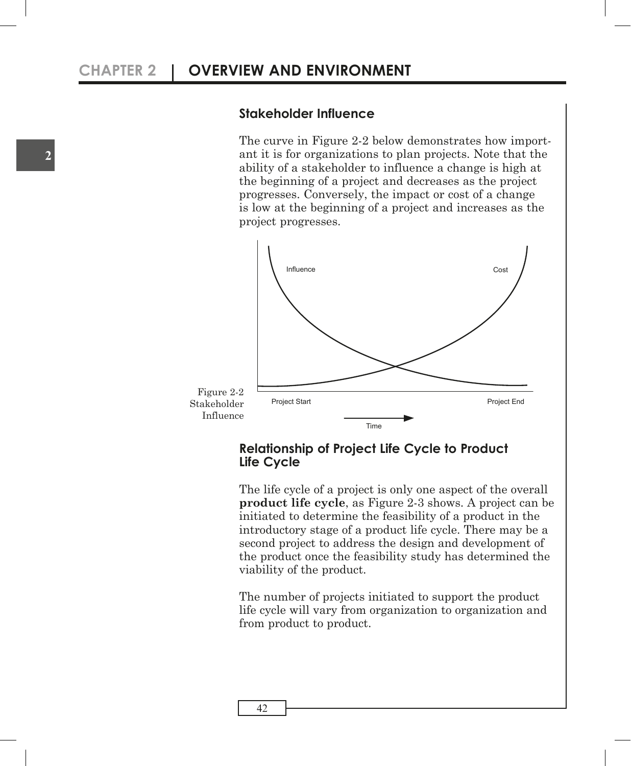#### **Stakeholder Influence**

The curve in Figure 2-2 below demonstrates how important it is for organizations to plan projects. Note that the ability of a stakeholder to influence a change is high at the beginning of a project and decreases as the project progresses. Conversely, the impact or cost of a change is low at the beginning of a project and increases as the project progresses.



#### **Relationship of Project Life Cycle to Product Life Cycle**

The life cycle of a project is only one aspect of the overall **product life cycle**, as Figure 2-3 shows. A project can be initiated to determine the feasibility of a product in the introductory stage of a product life cycle. There may be a second project to address the design and development of the product once the feasibility study has determined the viability of the product.

The number of projects initiated to support the product life cycle will vary from organization to organization and from product to product.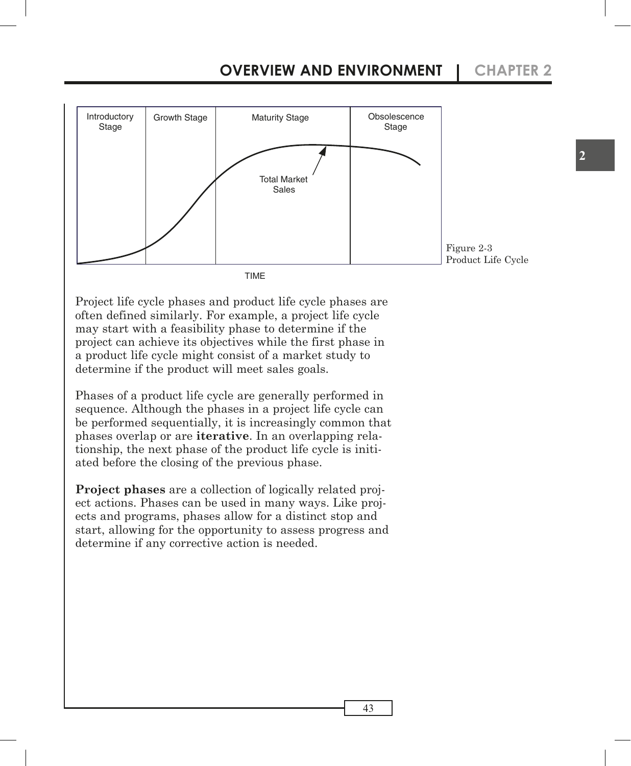

TIME

Project life cycle phases and product life cycle phases are often defined similarly. For example, a project life cycle may start with a feasibility phase to determine if the project can achieve its objectives while the first phase in a product life cycle might consist of a market study to determine if the product will meet sales goals.

Phases of a product life cycle are generally performed in sequence. Although the phases in a project life cycle can be performed sequentially, it is increasingly common that phases overlap or are **iterative**. In an overlapping relationship, the next phase of the product life cycle is initiated before the closing of the previous phase.

**Project phases** are a collection of logically related project actions. Phases can be used in many ways. Like projects and programs, phases allow for a distinct stop and start, allowing for the opportunity to assess progress and determine if any corrective action is needed.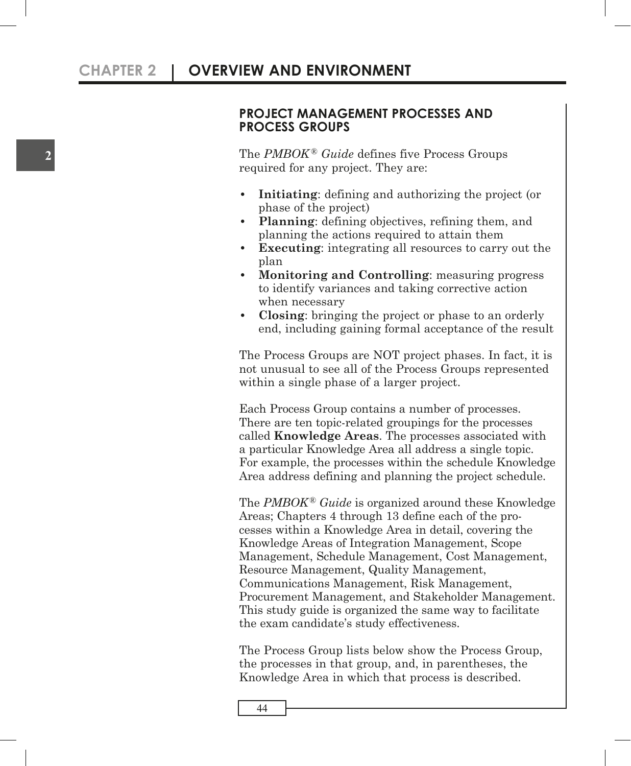#### **PROJECT MANAGEMENT PROCESSES AND PROCESS GROUPS**

The *PMBOK* ® *Guide* defines five Process Groups required for any project. They are:

- **Initiating**: defining and authorizing the project (or phase of the project)
- **• Planning**: defining objectives, refining them, and planning the actions required to attain them
- **• Executing**: integrating all resources to carry out the plan
- **• Monitoring and Controlling**: measuring progress to identify variances and taking corrective action when necessary
- **• Closing**: bringing the project or phase to an orderly end, including gaining formal acceptance of the result

The Process Groups are NOT project phases. In fact, it is not unusual to see all of the Process Groups represented within a single phase of a larger project.

Each Process Group contains a number of processes. There are ten topic-related groupings for the processes called **Knowledge Areas**. The processes associated with a particular Knowledge Area all address a single topic. For example, the processes within the schedule Knowledge Area address defining and planning the project schedule.

The *PMBOK*® *Guide* is organized around these Knowledge Areas; Chapters 4 through 13 define each of the processes within a Knowledge Area in detail, covering the Knowledge Areas of Integration Management, Scope Management, Schedule Management, Cost Management, Resource Management, Quality Management, Communications Management, Risk Management, Procurement Management, and Stakeholder Management. This study guide is organized the same way to facilitate the exam candidate's study effectiveness.

The Process Group lists below show the Process Group, the processes in that group, and, in parentheses, the Knowledge Area in which that process is described.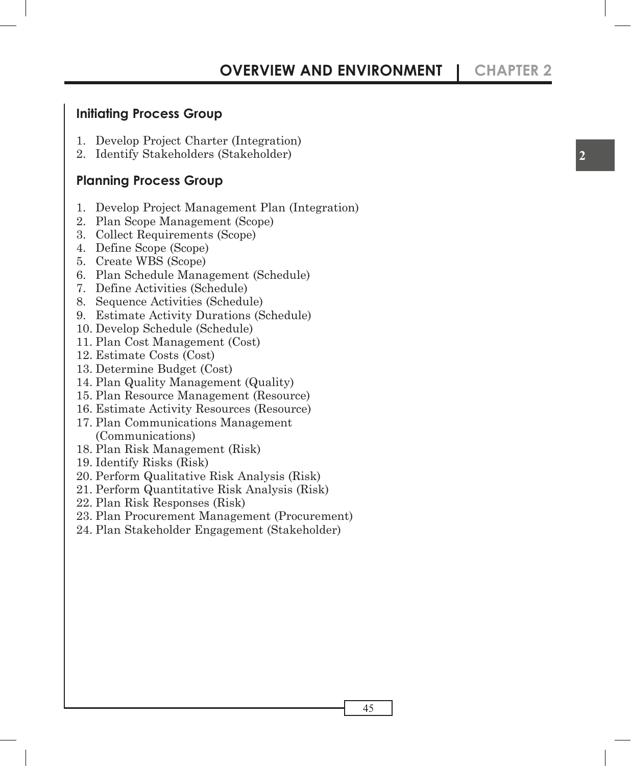# **OVERVIEW AND ENVIRONMENT | CHAPTER 2**

#### **Initiating Process Group**

- 1. Develop Project Charter (Integration)
- 2. Identify Stakeholders (Stakeholder)

#### **Planning Process Group**

- 1. Develop Project Management Plan (Integration)
- 2. Plan Scope Management (Scope)
- 3. Collect Requirements (Scope)
- 4. Define Scope (Scope)
- 5. Create WBS (Scope)
- 6. Plan Schedule Management (Schedule)
- 7. Define Activities (Schedule)
- 8. Sequence Activities (Schedule)
- 9. Estimate Activity Durations (Schedule)
- 10. Develop Schedule (Schedule)
- 11. Plan Cost Management (Cost)
- 12. Estimate Costs (Cost)
- 13. Determine Budget (Cost)
- 14. Plan Quality Management (Quality)
- 15. Plan Resource Management (Resource)
- 16. Estimate Activity Resources (Resource)
- 17. Plan Communications Management (Communications)
- 18. Plan Risk Management (Risk)
- 19. Identify Risks (Risk)
- 20. Perform Qualitative Risk Analysis (Risk)
- 21. Perform Quantitative Risk Analysis (Risk)
- 22. Plan Risk Responses (Risk)
- 23. Plan Procurement Management (Procurement)
- 24. Plan Stakeholder Engagement (Stakeholder)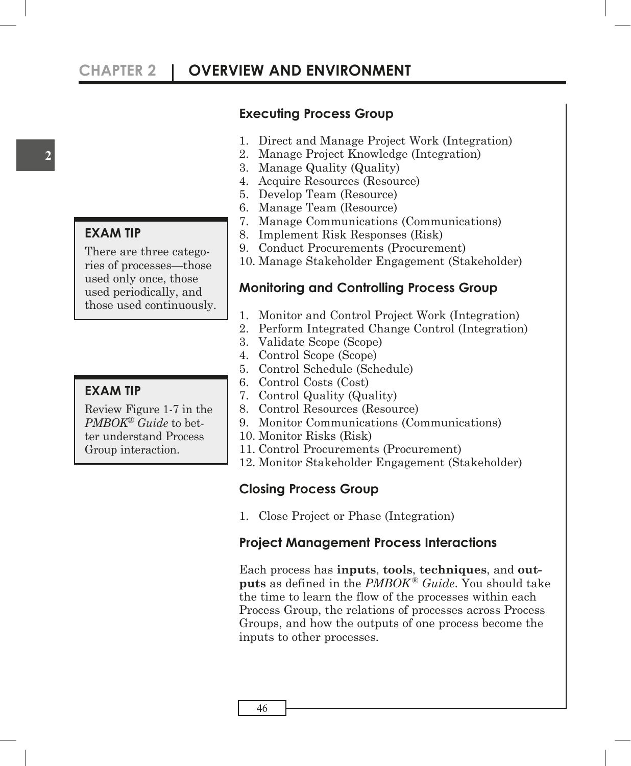#### **Executing Process Group**

- 1. Direct and Manage Project Work (Integration)
- 2. Manage Project Knowledge (Integration)
- 3. Manage Quality (Quality)
- 4. Acquire Resources (Resource)
- 5. Develop Team (Resource)
- 6. Manage Team (Resource)
- 7. Manage Communications (Communications)
- 8. Implement Risk Responses (Risk)
- 9. Conduct Procurements (Procurement)
- 10. Manage Stakeholder Engagement (Stakeholder)

#### **Monitoring and Controlling Process Group**

- 1. Monitor and Control Project Work (Integration)
- 2. Perform Integrated Change Control (Integration)
- 3. Validate Scope (Scope)
- 4. Control Scope (Scope)
- 5. Control Schedule (Schedule)
- 6. Control Costs (Cost)
- 7. Control Quality (Quality)
- 8. Control Resources (Resource)
- 9. Monitor Communications (Communications)
- 10. Monitor Risks (Risk)
- 11. Control Procurements (Procurement)
- 12. Monitor Stakeholder Engagement (Stakeholder)

#### **Closing Process Group**

1. Close Project or Phase (Integration)

#### **Project Management Process Interactions**

Each process has **inputs**, **tools**, **techniques**, and **outputs** as defined in the *PMBOK*® *Guide*. You should take the time to learn the flow of the processes within each Process Group, the relations of processes across Process Groups, and how the outputs of one process become the inputs to other processes.

#### **EXAM TIP**

There are three categories of processes—those used only once, those used periodically, and those used continuously.

#### **EXAM TIP**

Review Figure 1-7 in the *PMBOK*® *Guide* to better understand Process Group interaction.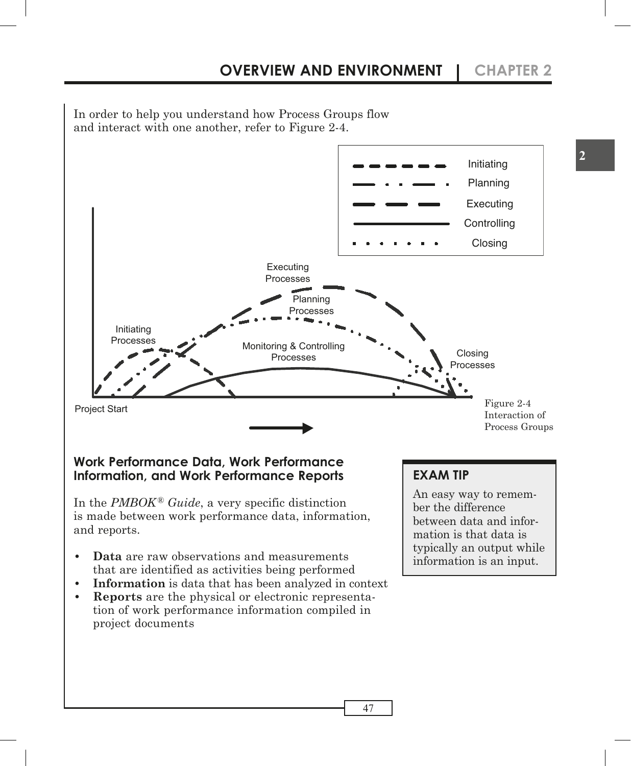**2**



# In order to help you understand how Process Groups flow

#### **Work Performance Data, Work Performance Information, and Work Performance Reports**

In the *PMBOK*® *Guide*, a very specific distinction is made between work performance data, information, and reports.

- **• Data** are raw observations and measurements that are identified as activities being performed
- **• Information** is data that has been analyzed in context
- **• Reports** are the physical or electronic representation of work performance information compiled in project documents

### **EXAM TIP**

An easy way to remember the difference between data and information is that data is typically an output while information is an input.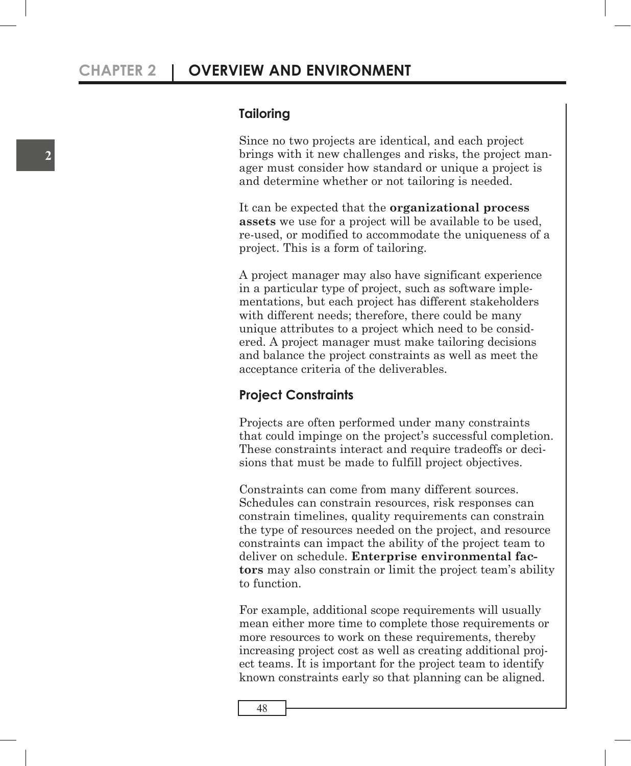#### **Tailoring**

Since no two projects are identical, and each project brings with it new challenges and risks, the project manager must consider how standard or unique a project is and determine whether or not tailoring is needed.

It can be expected that the **organizational process assets** we use for a project will be available to be used, re-used, or modified to accommodate the uniqueness of a project. This is a form of tailoring.

A project manager may also have significant experience in a particular type of project, such as software implementations, but each project has different stakeholders with different needs; therefore, there could be many unique attributes to a project which need to be considered. A project manager must make tailoring decisions and balance the project constraints as well as meet the acceptance criteria of the deliverables.

#### **Project Constraints**

Projects are often performed under many constraints that could impinge on the project's successful completion. These constraints interact and require tradeoffs or decisions that must be made to fulfill project objectives.

Constraints can come from many different sources. Schedules can constrain resources, risk responses can constrain timelines, quality requirements can constrain the type of resources needed on the project, and resource constraints can impact the ability of the project team to deliver on schedule. **Enterprise environmental factors** may also constrain or limit the project team's ability to function.

For example, additional scope requirements will usually mean either more time to complete those requirements or more resources to work on these requirements, thereby increasing project cost as well as creating additional project teams. It is important for the project team to identify known constraints early so that planning can be aligned.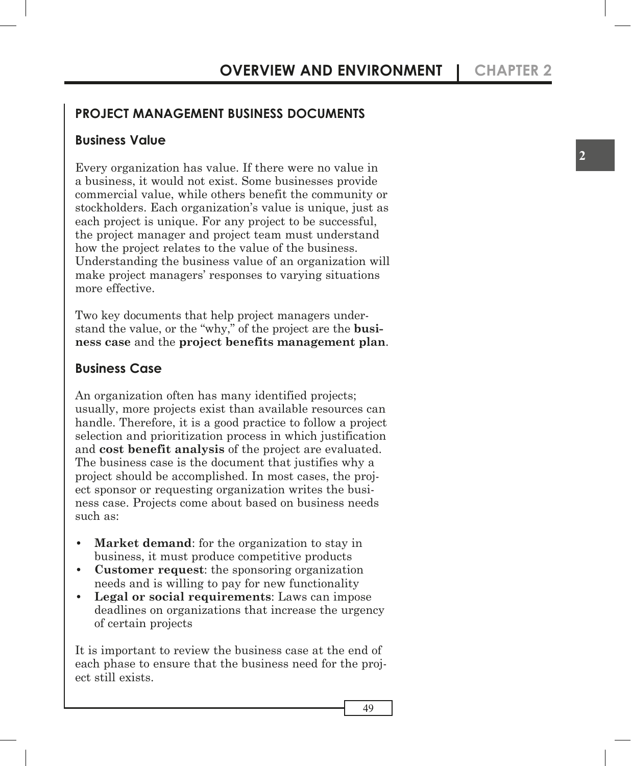#### **PROJECT MANAGEMENT BUSINESS DOCUMENTS**

#### **Business Value**

Every organization has value. If there were no value in a business, it would not exist. Some businesses provide commercial value, while others benefit the community or stockholders. Each organization's value is unique, just as each project is unique. For any project to be successful, the project manager and project team must understand how the project relates to the value of the business. Understanding the business value of an organization will make project managers' responses to varying situations more effective.

Two key documents that help project managers understand the value, or the "why," of the project are the **business case** and the **project benefits management plan**.

#### **Business Case**

An organization often has many identified projects; usually, more projects exist than available resources can handle. Therefore, it is a good practice to follow a project selection and prioritization process in which justification and **cost benefit analysis** of the project are evaluated. The business case is the document that justifies why a project should be accomplished. In most cases, the project sponsor or requesting organization writes the business case. Projects come about based on business needs such as:

- **Market demand**: for the organization to stay in business, it must produce competitive products
- **• Customer request**: the sponsoring organization needs and is willing to pay for new functionality
- **• Legal or social requirements**: Laws can impose deadlines on organizations that increase the urgency of certain projects

It is important to review the business case at the end of each phase to ensure that the business need for the project still exists.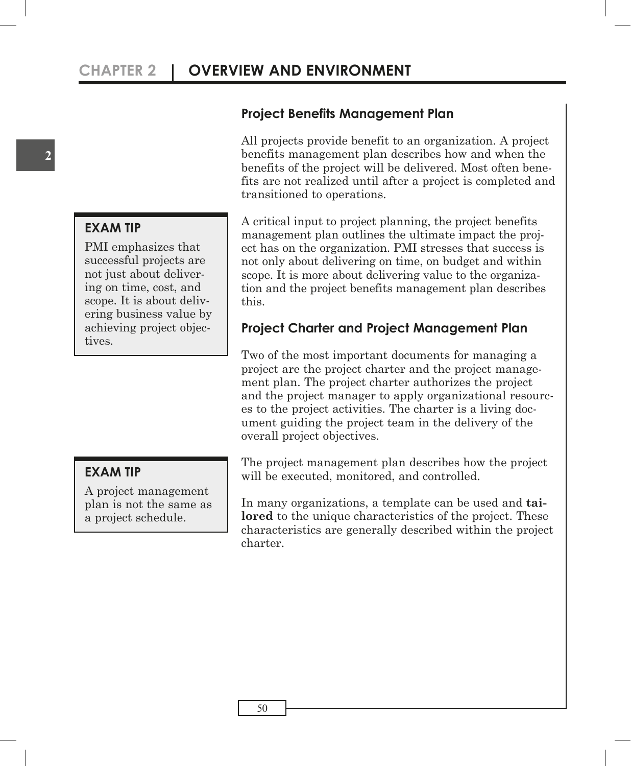#### **EXAM TIP**

PMI emphasizes that successful projects are not just about delivering on time, cost, and scope. It is about delivering business value by achieving project objectives.

#### **EXAM TIP**

A project management plan is not the same as a project schedule.

#### **Project Benefits Management Plan**

All projects provide benefit to an organization. A project benefits management plan describes how and when the benefits of the project will be delivered. Most often benefits are not realized until after a project is completed and transitioned to operations.

A critical input to project planning, the project benefits management plan outlines the ultimate impact the project has on the organization. PMI stresses that success is not only about delivering on time, on budget and within scope. It is more about delivering value to the organization and the project benefits management plan describes this.

#### **Project Charter and Project Management Plan**

Two of the most important documents for managing a project are the project charter and the project management plan. The project charter authorizes the project and the project manager to apply organizational resources to the project activities. The charter is a living document guiding the project team in the delivery of the overall project objectives.

The project management plan describes how the project will be executed, monitored, and controlled.

In many organizations, a template can be used and **tailored** to the unique characteristics of the project. These characteristics are generally described within the project charter.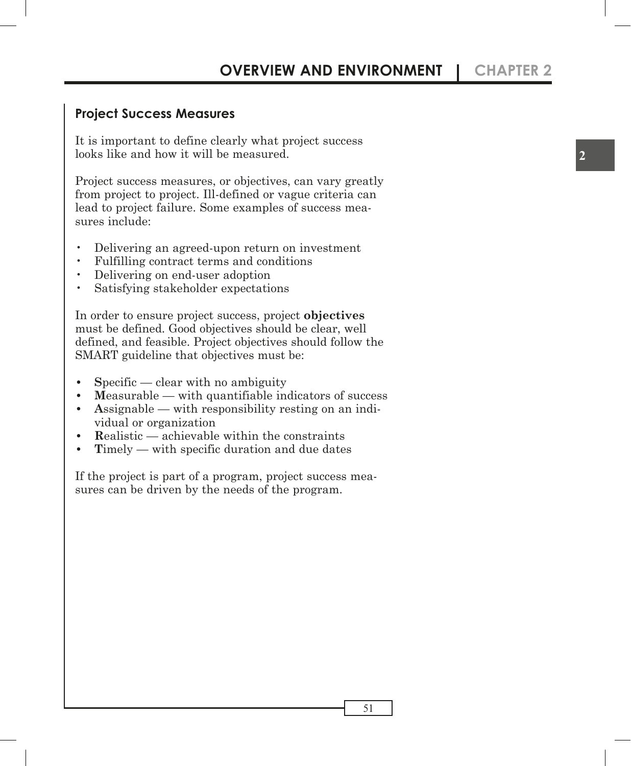# **OVERVIEW AND ENVIRONMENT | CHAPTER 2**

#### **Project Success Measures**

It is important to define clearly what project success looks like and how it will be measured.

Project success measures, or objectives, can vary greatly from project to project. Ill-defined or vague criteria can lead to project failure. Some examples of success measures include:

- Delivering an agreed-upon return on investment
- Fulfilling contract terms and conditions
- Delivering on end-user adoption
- Satisfying stakeholder expectations

In order to ensure project success, project **objectives**  must be defined. Good objectives should be clear, well defined, and feasible. Project objectives should follow the SMART guideline that objectives must be:

- **• S**pecific clear with no ambiguity
- **• M**easurable with quantifiable indicators of success
- **• A**ssignable with responsibility resting on an individual or organization
- **• R**ealistic achievable within the constraints
- Timely with specific duration and due dates

If the project is part of a program, project success measures can be driven by the needs of the program.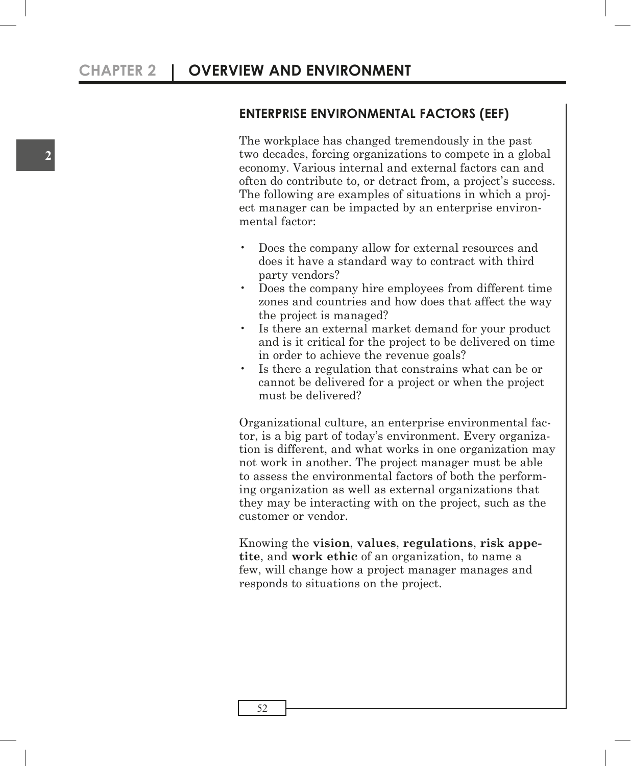#### **ENTERPRISE ENVIRONMENTAL FACTORS (EEF)**

The workplace has changed tremendously in the past two decades, forcing organizations to compete in a global economy. Various internal and external factors can and often do contribute to, or detract from, a project's success. The following are examples of situations in which a project manager can be impacted by an enterprise environmental factor:

- Does the company allow for external resources and does it have a standard way to contract with third party vendors?
- Does the company hire employees from different time zones and countries and how does that affect the way the project is managed?
- Is there an external market demand for your product and is it critical for the project to be delivered on time in order to achieve the revenue goals?
- Is there a regulation that constrains what can be or cannot be delivered for a project or when the project must be delivered?

Organizational culture, an enterprise environmental factor, is a big part of today's environment. Every organization is different, and what works in one organization may not work in another. The project manager must be able to assess the environmental factors of both the performing organization as well as external organizations that they may be interacting with on the project, such as the customer or vendor.

Knowing the **vision**, **values**, **regulations**, **risk appetite**, and **work ethic** of an organization, to name a few, will change how a project manager manages and responds to situations on the project.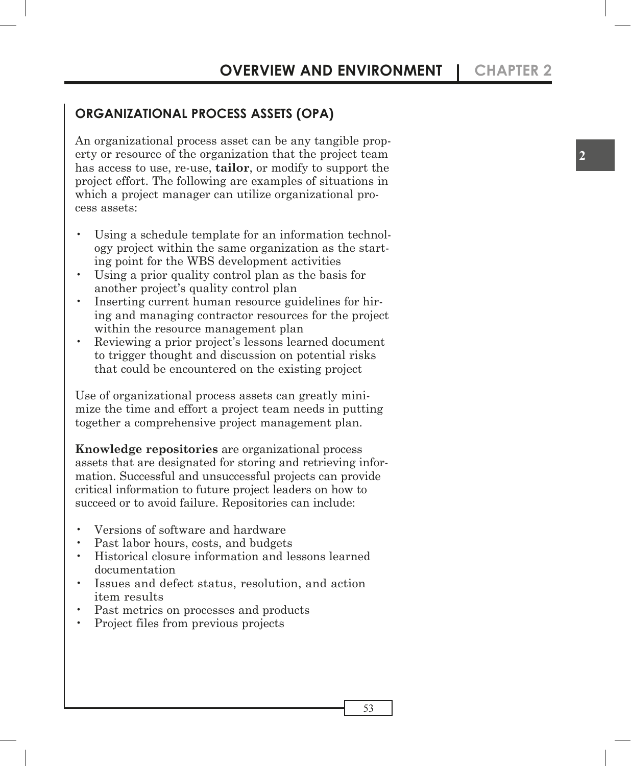#### **ORGANIZATIONAL PROCESS ASSETS (OPA)**

An organizational process asset can be any tangible property or resource of the organization that the project team has access to use, re-use, **tailor**, or modify to support the project effort. The following are examples of situations in which a project manager can utilize organizational process assets:

- Using a schedule template for an information technology project within the same organization as the starting point for the WBS development activities
- Using a prior quality control plan as the basis for another project's quality control plan
- Inserting current human resource guidelines for hiring and managing contractor resources for the project within the resource management plan
- Reviewing a prior project's lessons learned document to trigger thought and discussion on potential risks that could be encountered on the existing project

Use of organizational process assets can greatly minimize the time and effort a project team needs in putting together a comprehensive project management plan.

**Knowledge repositories** are organizational process assets that are designated for storing and retrieving information. Successful and unsuccessful projects can provide critical information to future project leaders on how to succeed or to avoid failure. Repositories can include:

- Versions of software and hardware
- Past labor hours, costs, and budgets
- Historical closure information and lessons learned documentation
- Issues and defect status, resolution, and action item results
- Past metrics on processes and products
- Project files from previous projects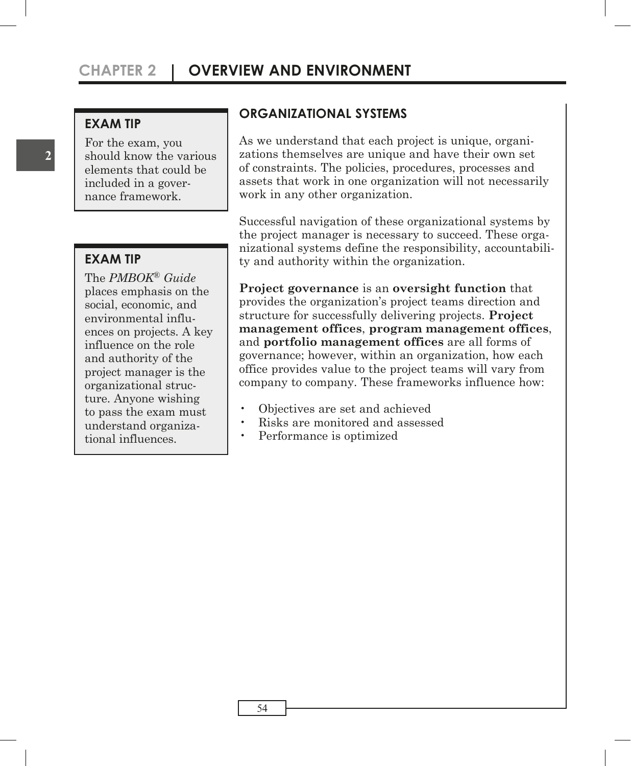# **CHAPTER 2 OVERVIEW AND ENVIRONMENT**

#### **EXAM TIP**

For the exam, you should know the various elements that could be included in a governance framework.

#### **EXAM TIP**

The *PMBOK*® *Guide*  places emphasis on the social, economic, and environmental influences on projects. A key influence on the role and authority of the project manager is the organizational structure. Anyone wishing to pass the exam must understand organizational influences.

#### **ORGANIZATIONAL SYSTEMS**

As we understand that each project is unique, organizations themselves are unique and have their own set of constraints. The policies, procedures, processes and assets that work in one organization will not necessarily work in any other organization.

Successful navigation of these organizational systems by the project manager is necessary to succeed. These organizational systems define the responsibility, accountability and authority within the organization.

**Project governance** is an **oversight function** that provides the organization's project teams direction and structure for successfully delivering projects. **Project management offices**, **program management offices**, and **portfolio management offices** are all forms of governance; however, within an organization, how each office provides value to the project teams will vary from company to company. These frameworks influence how:

- Objectives are set and achieved
- Risks are monitored and assessed
- Performance is optimized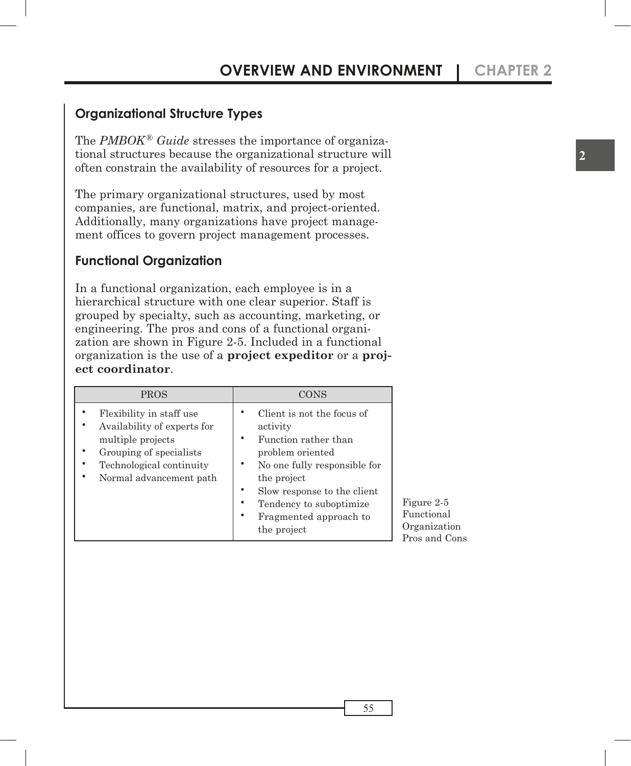#### **Organizational Structure Types**

The *PMBOK*® *Guide* stresses the importance of organizational structures because the organizational structure will often constrain the availability of resources for a project.

The primary organizational structures, used by most companies, are functional, matrix, and project-oriented. Additionally, many organizations have project management offices to govern project management processes.

#### **Functional Organization**

In a functional organization, each employee is in a hierarchical structure with one clear superior. Staff is grouped by specialty, such as accounting, marketing, or engineering. The pros and cons of a functional organization are shown in Figure 2-5. Included in a functional organization is the use of a **project expeditor** or a **project coordinator**.

| <b>PROS</b>                                                                                                                                                    | CONS                                                                                                                                                                                                                                 |  |
|----------------------------------------------------------------------------------------------------------------------------------------------------------------|--------------------------------------------------------------------------------------------------------------------------------------------------------------------------------------------------------------------------------------|--|
| Flexibility in staff use<br>Availability of experts for<br>multiple projects<br>Grouping of specialists<br>Technological continuity<br>Normal advancement path | Client is not the focus of<br>activity<br>Function rather than<br>problem oriented<br>No one fully responsible for<br>the project<br>Slow response to the client<br>Tendency to suboptimize<br>Fragmented approach to<br>the project |  |

 $r$ igure  $2-5$ Functional Organization Pros and Cons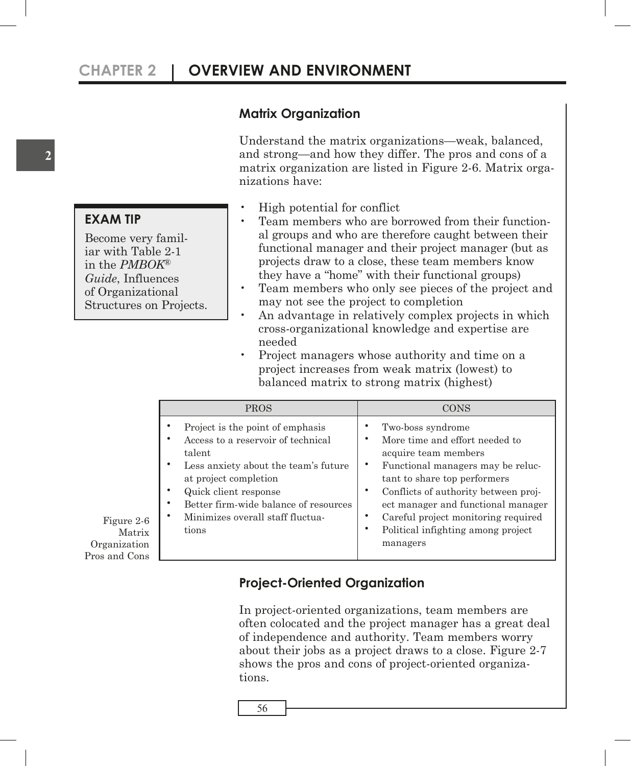#### **Matrix Organization**

Understand the matrix organizations—weak, balanced, and strong—and how they differ. The pros and cons of a matrix organization are listed in Figure 2-6. Matrix organizations have:

- High potential for conflict
- Team members who are borrowed from their functional groups and who are therefore caught between their functional manager and their project manager (but as projects draw to a close, these team members know they have a "home" with their functional groups)
- Team members who only see pieces of the project and may not see the project to completion
- An advantage in relatively complex projects in which cross-organizational knowledge and expertise are needed
- Project managers whose authority and time on a project increases from weak matrix (lowest) to balanced matrix to strong matrix (highest)

| <b>PROS</b>                           |                                      |  |
|---------------------------------------|--------------------------------------|--|
| Project is the point of emphasis      | Two-boss syndrome                    |  |
| Access to a reservoir of technical    | More time and effort needed to       |  |
| talent                                | acquire team members                 |  |
| Less anxiety about the team's future  | Functional managers may be reluc-    |  |
| at project completion                 | tant to share top performers         |  |
| Quick client response                 | Conflicts of authority between proj- |  |
| ٠                                     | ect manager and functional manager   |  |
| Better firm-wide balance of resources | Careful project monitoring required  |  |
| Minimizes overall staff fluctua-      | Political infighting among project   |  |
| tions                                 | managers                             |  |

#### **Project-Oriented Organization**

In project-oriented organizations, team members are often colocated and the project manager has a great deal of independence and authority. Team members worry about their jobs as a project draws to a close. Figure 2-7 shows the pros and cons of project-oriented organizations.

#### **EXAM TIP**

Become very familiar with Table 2-1 in the *PMBOK*® *Guide*, Influences of Organizational Structures on Projects.

Figure 2-6 Matrix Organization Pros and Cons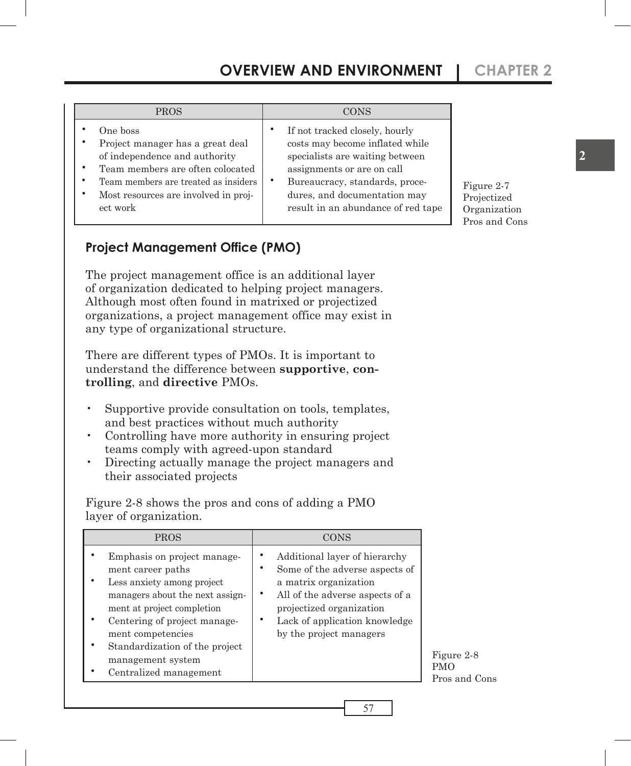# **OVERVIEW AND ENVIRONMENT | CHAPTER 2**

**2**

| <b>PROS</b> | <b>CONS</b> |
|-------------|-------------|
|             |             |

- One boss
- Project manager has a great deal of independence and authority
- Team members are often colocated
- Team members are treated as insiders
- Most resources are involved in project work
- If not tracked closely, hourly costs may become inflated while specialists are waiting between assignments or are on call
	- Bureaucracy, standards, procedures, and documentation may result in an abundance of red tape

Figure 2-7 Projectized Organization Pros and Cons

## **Project Management Office (PMO)**

The project management office is an additional layer of organization dedicated to helping project managers. Although most often found in matrixed or projectized organizations, a project management office may exist in any type of organizational structure.

There are different types of PMOs. It is important to understand the difference between **supportive**, **controlling**, and **directive** PMOs.

- Supportive provide consultation on tools, templates, and best practices without much authority
- Controlling have more authority in ensuring project teams comply with agreed-upon standard
- Directing actually manage the project managers and their associated projects

Figure 2-8 shows the pros and cons of adding a PMO layer of organization.

| <b>PROS</b>                                                                                                                                                                                                                                                                           | CONS                                                                                                                                                                                                                          |  |
|---------------------------------------------------------------------------------------------------------------------------------------------------------------------------------------------------------------------------------------------------------------------------------------|-------------------------------------------------------------------------------------------------------------------------------------------------------------------------------------------------------------------------------|--|
| Emphasis on project manage-<br>ment career paths<br>Less anxiety among project<br>managers about the next assign-<br>ment at project completion<br>Centering of project manage-<br>ment competencies<br>Standardization of the project<br>management system<br>Centralized management | Additional layer of hierarchy<br>Some of the adverse aspects of<br>٠<br>a matrix organization<br>All of the adverse aspects of a<br>٠<br>projectized organization<br>Lack of application knowledge<br>by the project managers |  |

Figure 2-8 PMO Pros and Cons

57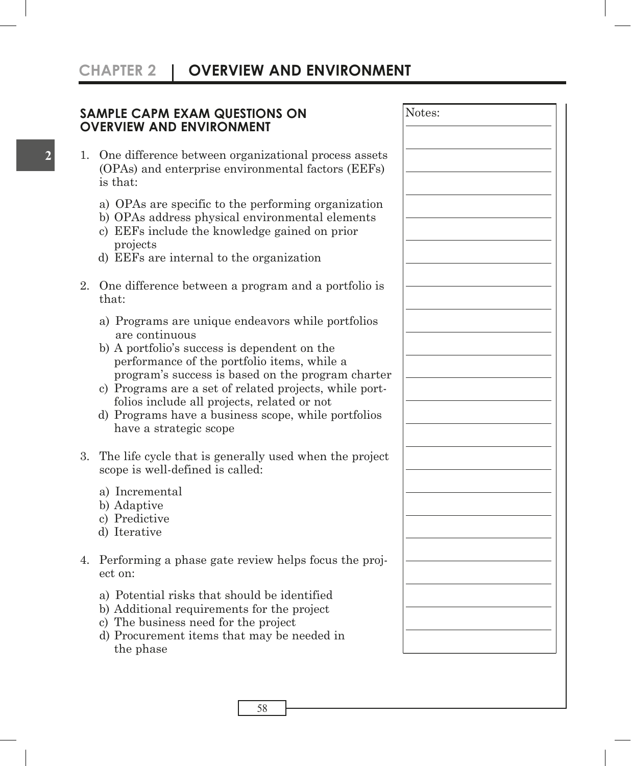# **CHAPTER 2 | OVERVIEW AND ENVIRONMENT**

#### **SAMPLE CAPM EXAM QUESTIONS ON OVERVIEW AND ENVIRONMENT**

- 1. One difference between organizational process assets (OPAs) and enterprise environmental factors (EEFs) is that:
	- a) OPAs are specific to the performing organization
	- b) OPAs address physical environmental elements
	- c) EEFs include the knowledge gained on prior projects
	- d) EEFs are internal to the organization
- 2. One difference between a program and a portfolio is that:
	- a) Programs are unique endeavors while portfolios are continuous
	- b) A portfolio's success is dependent on the performance of the portfolio items, while a program's success is based on the program charter
	- c) Programs are a set of related projects, while portfolios include all projects, related or not
	- d) Programs have a business scope, while portfolios have a strategic scope
- 3. The life cycle that is generally used when the project scope is well-defined is called:
	- a) Incremental
	- b) Adaptive
	- c) Predictive
	- d) Iterative
- 4. Performing a phase gate review helps focus the project on:
	- a) Potential risks that should be identified
	- b) Additional requirements for the project
	- c) The business need for the project
	- d) Procurement items that may be needed in the phase

Notes: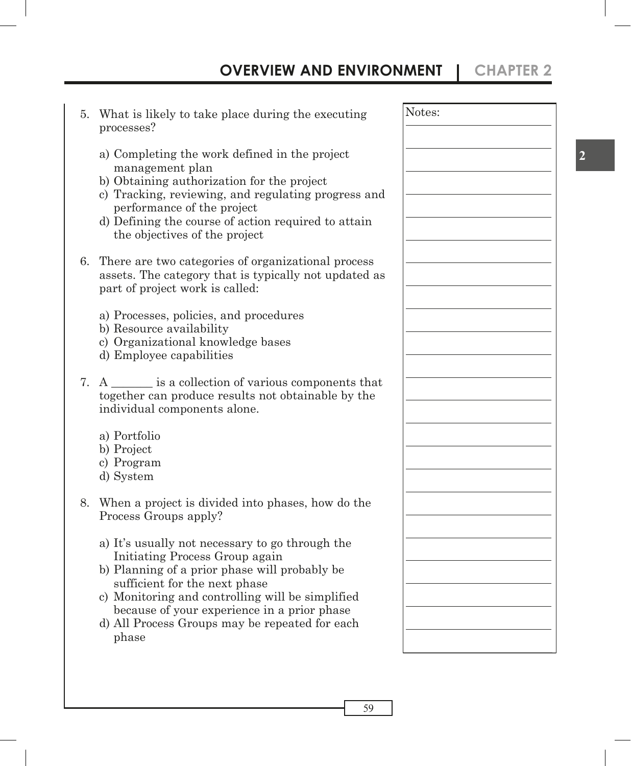# **OVERVIEW AND ENVIRONMENT | CHAPTER 2**

5. What is likely to take place during the executing processes? a) Completing the work defined in the project management plan b) Obtaining authorization for the project c) Tracking, reviewing, and regulating progress and performance of the project d) Defining the course of action required to attain the objectives of the project 6. There are two categories of organizational process assets. The category that is typically not updated as part of project work is called: a) Processes, policies, and procedures b) Resource availability c) Organizational knowledge bases d) Employee capabilities 7. A \_\_\_\_\_\_\_ is a collection of various components that together can produce results not obtainable by the individual components alone. a) Portfolio b) Project c) Program d) System 8. When a project is divided into phases, how do the Process Groups apply? a) It's usually not necessary to go through the Initiating Process Group again b) Planning of a prior phase will probably be sufficient for the next phase c) Monitoring and controlling will be simplified because of your experience in a prior phase d) All Process Groups may be repeated for each phase Notes: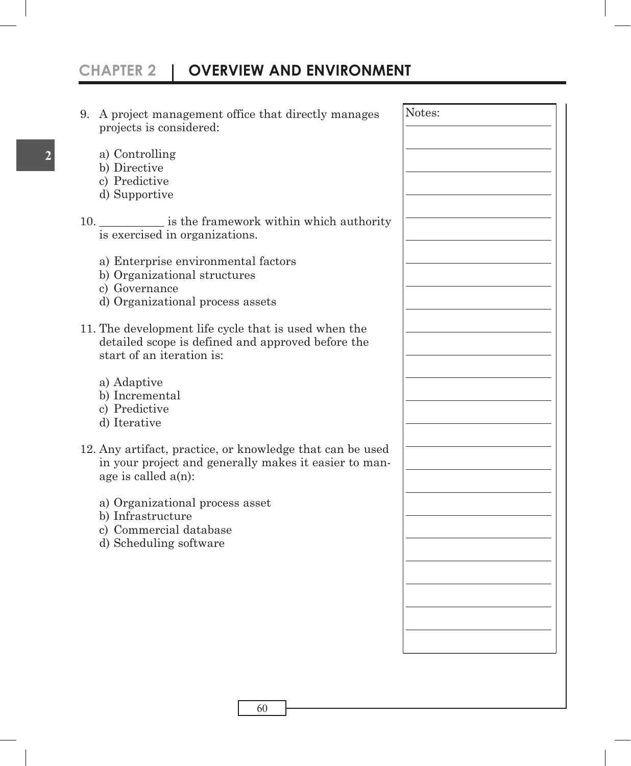# **CHAPTER 2 | OVERVIEW AND ENVIRONMENT**

| 9. A project management office that directly manages<br>projects is considered:                                                              | Notes: |
|----------------------------------------------------------------------------------------------------------------------------------------------|--------|
| a) Controlling<br>b) Directive<br>c) Predictive<br>d) Supportive                                                                             |        |
| 10. ___________ is the framework within which authority<br>is exercised in organizations.                                                    |        |
| a) Enterprise environmental factors<br>b) Organizational structures<br>c) Governance<br>d) Organizational process assets                     |        |
| 11. The development life cycle that is used when the<br>detailed scope is defined and approved before the<br>start of an iteration is:       |        |
| a) Adaptive<br>b) Incremental<br>c) Predictive<br>d) Iterative                                                                               |        |
| 12. Any artifact, practice, or knowledge that can be used<br>in your project and generally makes it easier to man-<br>age is called $a(n)$ : |        |
| a) Organizational process asset<br>b) Infrastructure<br>c) Commercial database<br>d) Scheduling software                                     |        |
|                                                                                                                                              |        |
|                                                                                                                                              |        |
|                                                                                                                                              |        |

 $\overline{\phantom{a}}$ 

 $\overline{\phantom{a}}$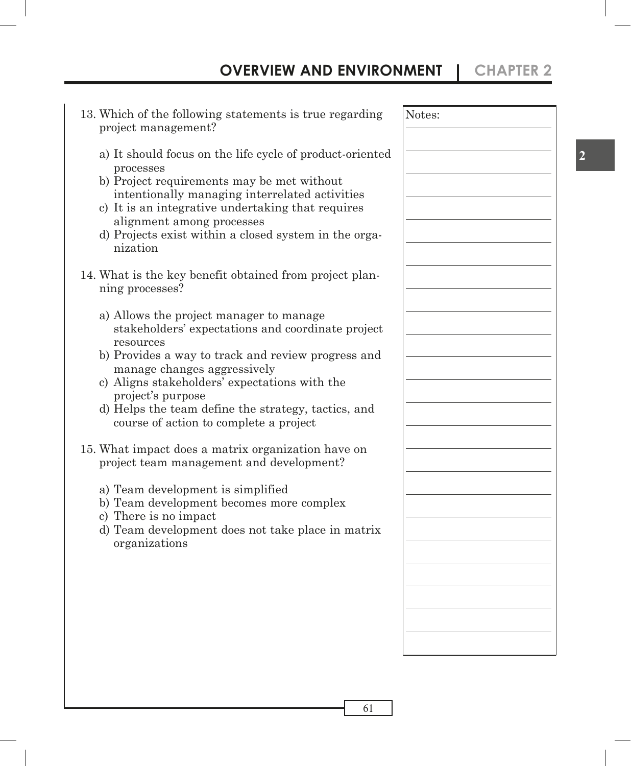# **OVERVIEW AND ENVIRONMENT | CHAPTER 2**

| 13. Which of the following statements is true regarding<br>project management?                                                                                                                                                                                                                                                                                        | Notes: |
|-----------------------------------------------------------------------------------------------------------------------------------------------------------------------------------------------------------------------------------------------------------------------------------------------------------------------------------------------------------------------|--------|
| a) It should focus on the life cycle of product-oriented<br>processes<br>b) Project requirements may be met without<br>intentionally managing interrelated activities<br>c) It is an integrative undertaking that requires<br>alignment among processes<br>d) Projects exist within a closed system in the orga-<br>nization                                          |        |
| 14. What is the key benefit obtained from project plan-<br>ning processes?                                                                                                                                                                                                                                                                                            |        |
| a) Allows the project manager to manage<br>stakeholders' expectations and coordinate project<br>resources<br>b) Provides a way to track and review progress and<br>manage changes aggressively<br>c) Aligns stakeholders' expectations with the<br>project's purpose<br>d) Helps the team define the strategy, tactics, and<br>course of action to complete a project |        |
| 15. What impact does a matrix organization have on<br>project team management and development?                                                                                                                                                                                                                                                                        |        |
| a) Team development is simplified<br>b) Team development becomes more complex<br>c) There is no impact<br>d) Team development does not take place in matrix<br>organizations                                                                                                                                                                                          |        |

**2**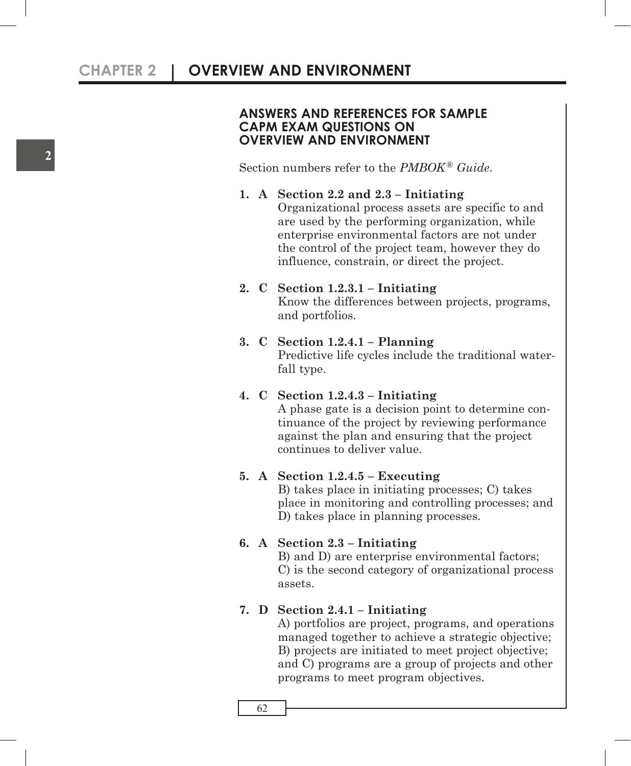#### **ANSWERS AND REFERENCES FOR SAMPLE CAPM EXAM QUESTIONS ON OVERVIEW AND ENVIRONMENT**

Section numbers refer to the *PMBOK*® *Guide*.

#### **1. A Section 2.2 and 2.3 – Initiating**

Organizational process assets are specific to and are used by the performing organization, while enterprise environmental factors are not under the control of the project team, however they do influence, constrain, or direct the project.

#### **2. C Section 1.2.3.1 – Initiating**

Know the differences between projects, programs, and portfolios.

#### **3. C Section 1.2.4.1 – Planning**

Predictive life cycles include the traditional waterfall type.

#### **4. C Section 1.2.4.3 – Initiating**

A phase gate is a decision point to determine continuance of the project by reviewing performance against the plan and ensuring that the project continues to deliver value.

#### **5. A Section 1.2.4.5 – Executing**

B) takes place in initiating processes; C) takes place in monitoring and controlling processes; and D) takes place in planning processes.

#### **6. A Section 2.3 – Initiating**

B) and D) are enterprise environmental factors; C) is the second category of organizational process assets.

#### **7. D Section 2.4.1 – Initiating**

A) portfolios are project, programs, and operations managed together to achieve a strategic objective; B) projects are initiated to meet project objective; and C) programs are a group of projects and other programs to meet program objectives.